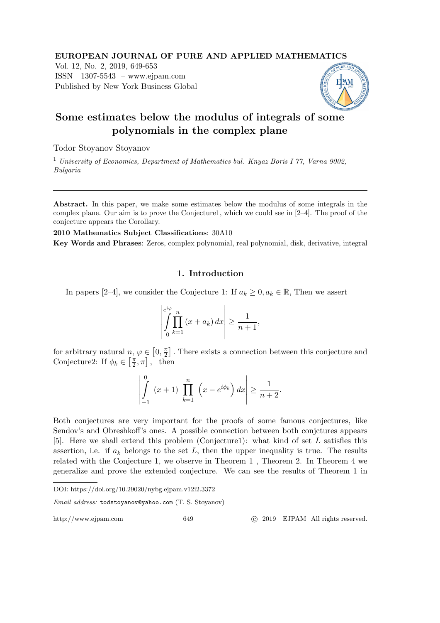### EUROPEAN JOURNAL OF PURE AND APPLIED MATHEMATICS

Vol. 12, No. 2, 2019, 649-653 ISSN 1307-5543 – www.ejpam.com Published by New York Business Global



# Some estimates below the modulus of integrals of some polynomials in the complex plane

Todor Stoyanov Stoyanov

<sup>1</sup> University of Economics, Department of Mathematics bul. Knyaz Boris I 77, Varna 9002, Bulgaria

Abstract. In this paper, we make some estimates below the modulus of some integrals in the complex plane. Our aim is to prove the Conjecture1, which we could see in [2–4]. The proof of the conjecture appears the Corollary.

2010 Mathematics Subject Classifications: 30A10 Key Words and Phrases: Zeros, complex polynomial, real polynomial, disk, derivative, integral

## 1. Introduction

In papers [2–4], we consider the Conjecture 1: If  $a_k \geq 0, a_k \in \mathbb{R}$ , Then we assert

$$
\left| \int_{0}^{\epsilon/\varphi} \prod_{k=1}^{n} (x + a_k) dx \right| \ge \frac{1}{n+1},
$$

for arbitrary natural  $n, \varphi \in [0, \frac{\pi}{2}]$  $\frac{\pi}{2}$ . There exists a connection between this conjecture and Conjecture2: If  $\phi_k \in \left[\frac{\pi}{2}\right]$  $\frac{\pi}{2}, \pi$ , then

$$
\left| \int_{-1}^{0} (x+1) \prod_{k=1}^{n} \left( x - e^{i\phi_k} \right) dx \right| \ge \frac{1}{n+2}.
$$

Both conjectures are very important for the proofs of some famous conjectures, like Sendov's and Obreshkoff's ones. A possible connection between both conjctures appears [5]. Here we shall extend this problem (Conjecture1): what kind of set L satisfies this assertion, i.e. if  $a_k$  belongs to the set L, then the upper inequality is true. The results related with the Conjecture 1, we observe in Theorem 1 , Theorem 2. In Theorem 4 we generalize and prove the extended conjecture. We can see the results of Theorem 1 in

DOI: https://doi.org/10.29020/nybg.ejpam.v12i2.3372

Email address: todstoyanov@yahoo.com (T. S. Stoyanov)

http://www.ejpam.com 649 c 2019 EJPAM All rights reserved.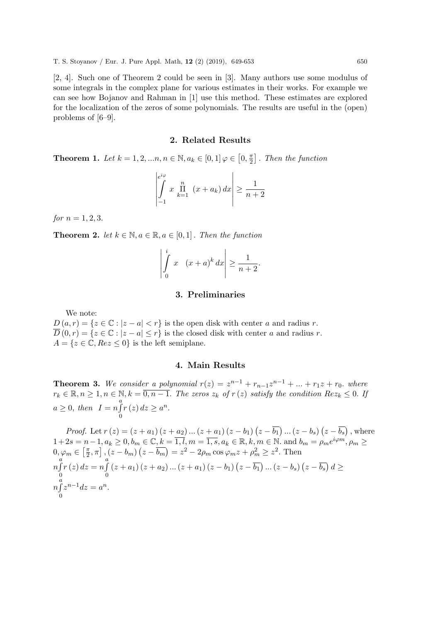[2, 4]. Such one of Theorem 2 could be seen in [3]. Many authors use some modulus of some integrals in the complex plane for various estimates in their works. For example we can see how Bojanov and Rahman in [1] use this method. These estimates are explored for the localization of the zeros of some polynomials. The results are useful in the (open) problems of [6–9].

#### 2. Related Results

**Theorem 1.** Let  $k = 1, 2, ..., n, n \in \mathbb{N}, a_k \in [0, 1]$   $\varphi \in [0, \frac{\pi}{2}]$  $\frac{\pi}{2}$ . Then the function

$$
\left| \int_{-1}^{e^{i\varphi}} x \prod_{k=1}^{n} (x + a_k) dx \right| \ge \frac{1}{n+2}
$$

for  $n = 1, 2, 3$ .

**Theorem 2.** let  $k \in \mathbb{N}, a \in \mathbb{R}, a \in [0,1]$ . Then the function

$$
\left| \int_{0}^{i} x \quad (x+a)^{k} \, dx \right| \ge \frac{1}{n+2}.
$$

#### 3. Preliminaries

We note:

 $D(a, r) = \{z \in \mathbb{C} : |z - a| < r\}$  is the open disk with center a and radius r.  $\overline{D}(0,r) = \{z \in \mathbb{C} : |z-a| \leq r\}$  is the closed disk with center a and radius r.  $A = \{z \in \mathbb{C}, Re z \leq 0\}$  is the left semiplane.

#### 4. Main Results

**Theorem 3.** We consider a polynomial  $r(z) = z^{n-1} + r_{n-1}z^{n-1} + ... + r_1z + r_0$ . where  $r_k \in \mathbb{R}, n \geq 1, n \in \mathbb{N}, k = \overline{0, n-1}.$  The zeros  $z_k$  of  $r(z)$  satisfy the condition  $Re z_k \leq 0.$  If  $a \geq 0$ , then  $I = n \int_a^a$  $\boldsymbol{0}$  $r(z) dz \geq a^n$ .

*Proof.* Let  $r(z) = (z + a_1)(z + a_2) ... (z + a_1)(z - b_1)(z - \overline{b_1}) ... (z - b_s)(z - \overline{b_s})$ , where  $1+2s = n-1, a_k \geq 0, b_m \in \mathbb{C}, k = \overline{1, l}, m = \overline{1, s}, a_k \in \mathbb{R}, k, m \in \mathbb{N}$ . and  $b_m = \rho_m e^{i\varphi m}, \rho_m \geq 0$  $0, \varphi_m \in \left[\frac{\pi}{2}\right]$  $\left[\frac{\pi}{2}, \pi\right]$ ,  $(z - b_m) (z - \overline{b_m}) = z^2 - 2\rho_m \cos \varphi_m z + \rho_m^2 \ge z^2$ . Then  $\begin{bmatrix} a \\ n \end{bmatrix}$ 0  $r(z) dz = n \int_a^b$ 0  $\left( z+a_{1}\right) \left( z+a_{2}\right) ...\left( z+a_{1}\right) \left( z-b_{1}\right) \left( z-\overline{b_{1}}\right) ...\left( z-b_{s}\right) \left( z-\overline{b_{s}}\right) d\geq$  $\int_a^a$ 0  $z^{n-1}dz = a^n.$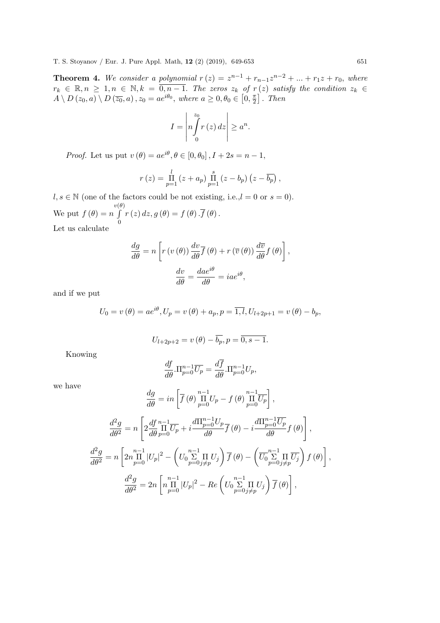**Theorem 4.** We consider a polynomial  $r(z) = z^{n-1} + r_{n-1}z^{n-2} + ... + r_1z + r_0$ , where  $r_k \in \mathbb{R}, n \geq 1, n \in \mathbb{N}, k = \overline{0, n-1}.$  The zeros  $z_k$  of  $r(z)$  satisfy the condition  $z_k \in \mathbb{R}$  $A \setminus D(z_0, a) \setminus D(\overline{z_0}, a)$ ,  $z_0 = ae^{i\theta_0}$ , where  $a \geq 0, \theta_0 \in [0, \frac{\pi}{2}]$  $\frac{\pi}{2}$ . Then

$$
I = \left| n \int_{0}^{z_0} r(z) dz \right| \geq a^n.
$$

*Proof.* Let us put  $v(\theta) = ae^{i\theta}, \theta \in [0, \theta_0], I + 2s = n - 1$ ,

$$
r(z) = \prod_{p=1}^{l} (z + a_p) \prod_{p=1}^{s} (z - b_p) (z - \overline{b_p}),
$$

 $l, s \in \mathbb{N}$  (one of the factors could be not existing, i.e.,  $l = 0$  or  $s = 0$ ). We put  $f(\theta) = n$  $v(\theta)$ R  $\boldsymbol{0}$  $r(z) dz, g(\theta) = f(\theta) \cdot f(\theta)$ . Let us calculate

$$
\frac{dg}{d\theta} = n \left[ r \left( v \left( \theta \right) \right) \frac{dv}{d\theta} \overline{f} \left( \theta \right) + r \left( \overline{v} \left( \theta \right) \right) \frac{dv}{d\theta} f \left( \theta \right) \right],
$$

$$
\frac{dv}{d\theta} = \frac{dae^{i\theta}}{d\theta} = iae^{i\theta},
$$

and if we put

$$
U_0 = v(\theta) = ae^{i\theta}, U_p = v(\theta) + a_p, p = \overline{1, l}, U_{l+2p+1} = v(\theta) - b_p,
$$

$$
U_{l+2p+2} = v(\theta) - \overline{b_p}, p = \overline{0, s-1}.
$$

Knowing

$$
\frac{df}{d\theta}.\Pi_{p=0}^{n-1}\overline{U_p} = \frac{d\overline{f}}{d\theta}.\Pi_{p=0}^{n-1}U_p,
$$

we have

$$
\frac{dg}{d\theta} = in \left[ \overline{f}(\theta) \prod_{p=0}^{n-1} U_p - f(\theta) \prod_{p=0}^{n-1} \overline{U_p} \right],
$$

$$
\frac{d^2g}{d\theta^2} = n \left[ 2 \frac{df}{d\theta} \prod_{p=0}^{n-1} \overline{U_p} + i \frac{d\Pi_{p=0}^{n-1} U_p}{d\theta} \overline{f}(\theta) - i \frac{d\Pi_{p=0}^{n-1} \overline{U_p}}{d\theta} f(\theta) \right],
$$

$$
\frac{d^2g}{d\theta^2} = n \left[ 2n \prod_{p=0}^{n-1} |U_p|^2 - \left( U_0 \sum_{p=0}^{n-1} \Pi_{j \neq p} U_j \right) \overline{f}(\theta) - \left( \overline{U_0} \sum_{p=0}^{n-1} \Pi_{j \neq p} \overline{U_j} \right) f(\theta) \right],
$$

$$
\frac{d^2g}{d\theta^2} = 2n \left[ n \prod_{p=0}^{n-1} |U_p|^2 - Re \left( U_0 \sum_{p=0}^{n-1} \Pi_{j \neq p} U_j \right) \overline{f}(\theta) \right],
$$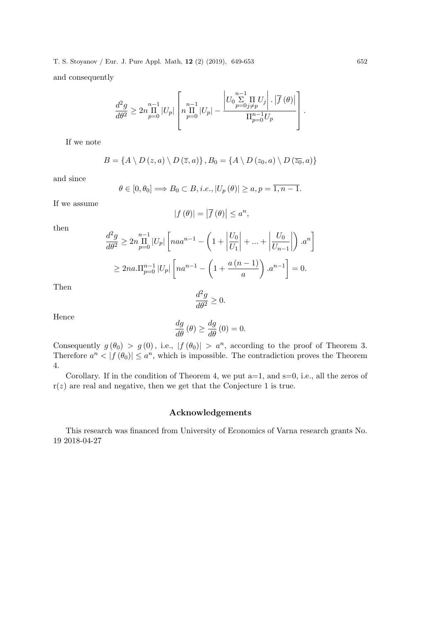$$
\frac{d^2g}{d\theta^2} \ge 2n \prod_{p=0}^{n-1} |U_p| \left[ n \prod_{p=0}^{n-1} |U_p| - \frac{\left| U_0 \sum_{p=0}^{n-1} \prod_{j \neq p} U_j \right| \cdot \left| \overline{f}(\theta) \right|}{\Pi_{p=0}^{n-1} U_p} \right]
$$

If we note

$$
B = \{ A \setminus D(z, a) \setminus D(\overline{z}, a) \}, B_0 = \{ A \setminus D(z_0, a) \setminus D(\overline{z_0}, a) \}
$$

and since

$$
\theta \in [0, \theta_0] \Longrightarrow B_0 \subset B, i.e., |U_p(\theta)| \ge a, p = \overline{1, n-1}.
$$

If we assume

$$
|f(\theta)| = |\overline{f}(\theta)| \le a^n,
$$

then

$$
\frac{d^2g}{d\theta^2} \ge 2n \prod_{p=0}^{n-1} |U_p| \left[ na a^{n-1} - \left( 1 + \left| \frac{U_0}{U_1} \right| + \dots + \left| \frac{U_0}{U_{n-1}} \right| \right) . a^n \right]
$$
  
\n
$$
\ge 2na \cdot \prod_{p=0}^{n-1} |U_p| \left[ na^{n-1} - \left( 1 + \frac{a(n-1)}{a} \right) . a^{n-1} \right] = 0.
$$

Then

$$
\frac{d^2g}{d\theta^2} \ge 0.
$$

Hence

$$
\frac{dg}{d\theta}(\theta) \ge \frac{dg}{d\theta}(0) = 0.
$$

Consequently  $g(\theta_0) > g(0)$ , i.e.,  $|f(\theta_0)| > a^n$ , according to the proof of Theorem 3. Therefore  $a^n < |f(\theta_0)| \le a^n$ , which is impossible. The contradiction proves the Theorem 4.

Corollary. If in the condition of Theorem 4, we put  $a=1$ , and  $s=0$ , i.e., all the zeros of  $r(z)$  are real and negative, then we get that the Conjecture 1 is true.

## Acknowledgements

This research was financed from University of Economics of Varna research grants No. 19 2018-04-27

.